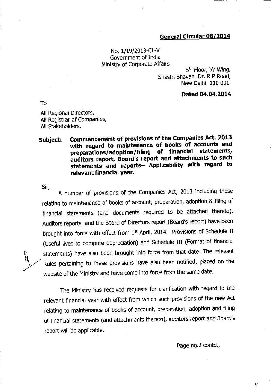## General Circular 08/2014

## No. 1/19/2013-CL-V Government of India Ministry of Corporate Affairs

5th Floor, 'A' Wing, Shastri Bhavan, Dr. R P Road, New Delhi- 110 001.

## Dated 04.04.2014

To

All Regional Directors, All Registrar of ComPanies, All Stakeholders.

## Subject: Commencement of provisions of the Companies Act, 2013 with regard to maintenance of books of accounts and preparations/adoption/filing of financial statements, auditors report, Board's report and attachments to such statements and reports- Applicability with regard to relevant financial year.

 $Sir.$ 

E V

A number of provisions of the Companies Act, 2013 including those relating to maintenance of books of account, preparation, adoption & filing of financial statements (and documents required to be attached thereto), Auditors reports and the Board of Directors report (Board's report) have been brought into force with effect from 1st April, 2014. Provisions of Schedule II (Useful lives to compute depreciation) and Schedule III (Format of financial statements) have also been brought into force from that date. The relevant Rules pertaining to these provisions have also been notified, placed on the website of the Ministry and have come into force from the same date.

The Ministrv has received requests for clarification with regard to the relevant flnancial year with effect from whlch such provlsions of the new Act relating to maintenance of books of account, preparation, adoption and filing of financial statements (and attachments thereto), auditors report and Board's report will be applicable.

Page no.2 contd.,